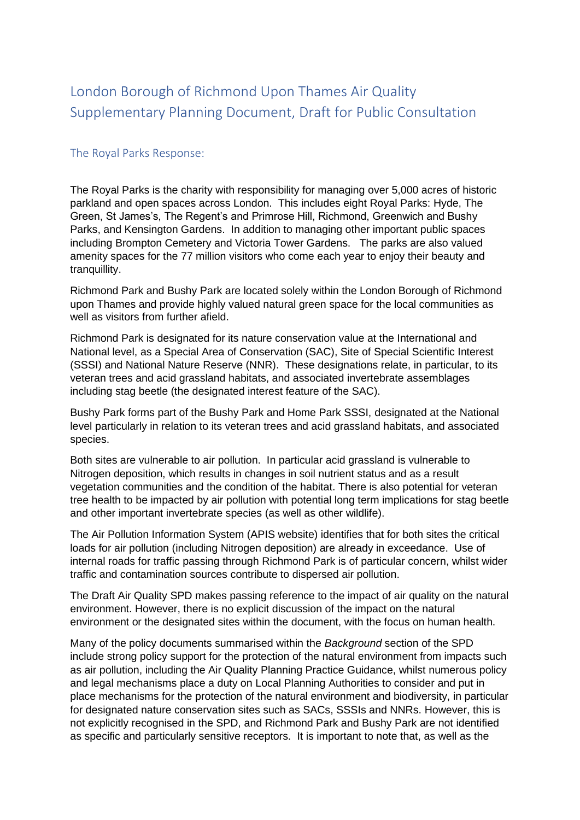## London Borough of Richmond Upon Thames Air Quality Supplementary Planning Document, Draft for Public Consultation

## The Royal Parks Response:

The Royal Parks is the charity with responsibility for managing over 5,000 acres of historic parkland and open spaces across London. This includes eight Royal Parks: Hyde, The Green, St James's, The Regent's and Primrose Hill, Richmond, Greenwich and Bushy Parks, and Kensington Gardens. In addition to managing other important public spaces including Brompton Cemetery and Victoria Tower Gardens. The parks are also valued amenity spaces for the 77 million visitors who come each year to enjoy their beauty and tranquillity.

Richmond Park and Bushy Park are located solely within the London Borough of Richmond upon Thames and provide highly valued natural green space for the local communities as well as visitors from further afield.

Richmond Park is designated for its nature conservation value at the International and National level, as a Special Area of Conservation (SAC), Site of Special Scientific Interest (SSSI) and National Nature Reserve (NNR). These designations relate, in particular, to its veteran trees and acid grassland habitats, and associated invertebrate assemblages including stag beetle (the designated interest feature of the SAC).

Bushy Park forms part of the Bushy Park and Home Park SSSI, designated at the National level particularly in relation to its veteran trees and acid grassland habitats, and associated species.

Both sites are vulnerable to air pollution. In particular acid grassland is vulnerable to Nitrogen deposition, which results in changes in soil nutrient status and as a result vegetation communities and the condition of the habitat. There is also potential for veteran tree health to be impacted by air pollution with potential long term implications for stag beetle and other important invertebrate species (as well as other wildlife).

The Air Pollution Information System (APIS website) identifies that for both sites the critical loads for air pollution (including Nitrogen deposition) are already in exceedance. Use of internal roads for traffic passing through Richmond Park is of particular concern, whilst wider traffic and contamination sources contribute to dispersed air pollution.

The Draft Air Quality SPD makes passing reference to the impact of air quality on the natural environment. However, there is no explicit discussion of the impact on the natural environment or the designated sites within the document, with the focus on human health.

Many of the policy documents summarised within the *Background* section of the SPD include strong policy support for the protection of the natural environment from impacts such as air pollution, including the Air Quality Planning Practice Guidance, whilst numerous policy and legal mechanisms place a duty on Local Planning Authorities to consider and put in place mechanisms for the protection of the natural environment and biodiversity, in particular for designated nature conservation sites such as SACs, SSSIs and NNRs. However, this is not explicitly recognised in the SPD, and Richmond Park and Bushy Park are not identified as specific and particularly sensitive receptors. It is important to note that, as well as the